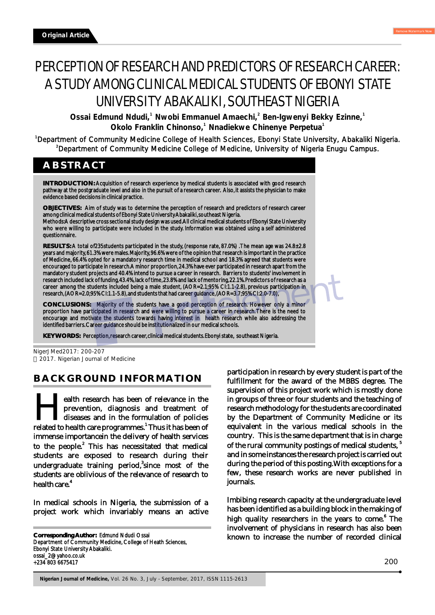# PERCEPTION OF RESEARCH AND PREDICTORS OF RESEARCH CAREER: A STUDY AMONG CLINICAL MEDICAL STUDENTS OF EBONYI STATE UNIVERSITY ABAKALIKI, SOUTHEAST NIGERIA

**2** Ossai Edmund Ndudi,<sup>1</sup> Nwobi Emmanuel Amaechi,<sup>2</sup> Ben-Igwenyi Bekky Ezinne,<sup>1</sup> **1** Okolo Franklin Chinonso,<sup>1</sup> Nnadiekwe Chinenye Perpetua<sup>1</sup>

<sup>1</sup>Department of Community Medicine College of Health Sciences, Ebonyi State University, Abakaliki Nigeria. <sup>2</sup>Department of Community Medicine College of Medicine, University of Nigeria Enugu Campus.

# **ABSTRACT**

**INTRODUCTION:** Acquisition of research experience by medical students is associated with good research pathway at the postgraduate level and also in the pursuit of a research career. Also, it assists the physician to make evidence based decisions in clinical practice.

**OBJECTIVES:** Aim of study was to determine the perception of research and predictors of research career among clinical medical students of Ebonyi State University Abakaliki, southeast Nigeria. Methods:A descriptive cross sectional study design was used.All clinical medical students of Ebonyi State University

who were willing to participate were included in the study. Information was obtained using a self administered questionnaire.

**RESULTS:** A total of235students participated in the study, (response rate, 87.0%) . The mean age was 24.8±2.8 years and majority, 61.3% were males. Majority, 96.6% were of the opinion that research is important in the practice of Medicine, 66.4% opted for a mandatory research time in medical school and 18.3% agreed that students were encouraged to participate in research. A minor proportion, 24.3% have ever participated in research apart from the mandatory student projects and 40.4% intend to pursue a career in research. Barriers to students' involvement in research included lack of funding, 43.4%, lack of time, 23.8% and lack of mentoring, 22.1%. Predictors of research as a career among the students included being a male student, (AOR=2.1;95% CI:1.1-2.8), previous participation in research, (AOR=2.0;95% CI:1.1-5.8), and students that had career guidance, (AOR=3.7;95% CI:2.0-7.0),

**CONCLUSIONS:** Majority of the students have a good perception of research. However only a minor proportion have participated in research and were willing to pursue a career in research. There is the need to encourage and motivate the students towards having interest in health research while also addressing the identified barriers. Career guidance should be institutionalized in our medical schools.

**KEY WORDS:** Perception, research career, clinical medical students. Ebonyi state, southeast Nigeria.

## **BACKGROUND INFORMATION**

ealth research has been of relevance in the prevention, diagnosis and treatment of diseases and in the formulation of policies related to health care programmes.<sup>1</sup> Thus it has been of immense importancein the delivery of health services to the people.<sup>2</sup> This has necessitated that medical students are exposed to research during their undergraduate training period,<sup>3</sup>since most of the students are oblivious of the relevance of research to 4 health care.

In medical schools in Nigeria, the submission of a project work which invariably means an active

**Corresponding Author:** Edmund Ndudi Ossai Department of Community Medicine, College of Heath Sciences, Ebonyi State University Abakaliki. ossai\_2@yahoo.co.uk +234 803 6675417

participation in research by every student is part of the fulfillment for the award of the MBBS degree. The supervision of this project work which is mostly done in groups of three or four students and the teaching of research methodology for the students are coordinated by the Department of Community Medicine or its equivalent in the various medical schools in the country. This is the same department that is in charge of the rural community postings of medical students, <sup>5</sup> and in some instances the research project is carried out during the period of this posting.With exceptions for a few, these research works are never published in journals.

Imbibing research capacity at the undergraduate level has been identified as a building block in the making of high quality researchers in the years to come.<sup>6</sup> The involvement of physicians in research has also been known to increase the number of recorded clinical

NigerJMed2017: 200-207 2017. Nigerian Journal of Medicine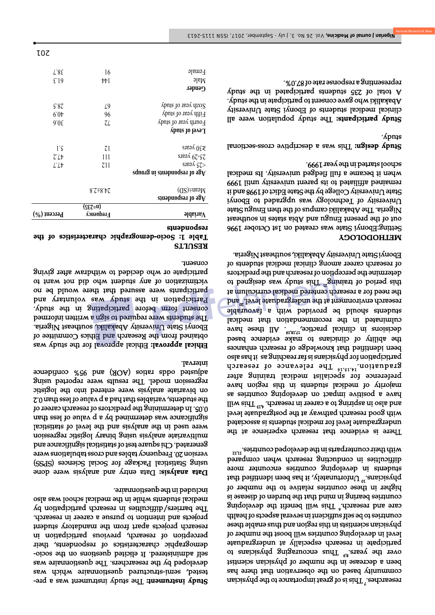Find the study instrument was a produced was a budged was a part of the study in the study of the study of the s tested, semi-structured questionnaire which was developed by the researchers. The questionnaire was self administered. It elicited questions on the sociodemographic characteristics of respondents, their perception of research, previous participation in research projects apart from the mandatory student projects and intention to pursue a career in research. The barriers/difficulties in research participation by medical students while in the medical school was also included in the questionnaire.

 Data entry and analysis were done **Data analysis:** using Statistical Package for Social Sciences (SPSS) version 20. Frequency tables and cross tabulations were generated. Chi square test of statistical significance and multivariate analysis using binary logistic regression were used in the analysis and the level of statistical significance was determined by a p value of less than 0.05. In determining the predictors of research career of  $\sim$  10 usuf students, variables that had a p value of less than 0.2 on bivariate analysis were entered into the logistic regression model. The results were reported using adusted odds and find out of the souper contains a substitution of the set of the parallel substitution of the interval.

 Ethical approval for the study was **Ethical approval:** obtained from the Research and Ethics Committee of Ebonyi State University Abakaliki, southeast Nigeria. The students were required to sign a written informed consent form before participating in the study. Participation in the study was voluntary and participants were assured that there would be no victimization of any student who did not want to participate or who decided to withdraw after giving consent.

#### **RESULTS Table 1: Socio-demographic characteristics of the respondents**

| $\delta$ ldains $V$                                                                                                                                                                                                                                                                                                                                                                                                                                                                                                                        | $(scz=u)$<br>Aouənbə.ra | $(\gamma_0)$ and $\gamma_0$ |
|--------------------------------------------------------------------------------------------------------------------------------------------------------------------------------------------------------------------------------------------------------------------------------------------------------------------------------------------------------------------------------------------------------------------------------------------------------------------------------------------------------------------------------------------|-------------------------|-----------------------------|
| Mean±(SD)<br>Age of respondents                                                                                                                                                                                                                                                                                                                                                                                                                                                                                                            | $8.5 + 8.45$            |                             |
| $\mathop{\rm sdim}\nolimits\mathop{\rm adim}\nolimits\mathop{\rm sdim}\nolimits\mathop{\rm sdim}\nolimits\mathop{\rm sdim}\nolimits\mathop{\rm sdim}\nolimits\mathop{\rm sdim}\nolimits\mathop{\rm sdim}\nolimits\mathop{\rm sdim}\nolimits\mathop{\rm sdim}\nolimits\mathop{\rm sdim}\nolimits\mathop{\rm sdim}\nolimits\mathop{\rm sdim}\nolimits\mathop{\rm sdim}\nolimits\mathop{\rm sdim}\nolimits\mathop{\rm sdim}\nolimits\mathop{\rm sdim}\nolimits\mathop{\rm sdim}\nolimits\mathop{\rm sdim}\nolimits\mathop{\rm sdim}\nolimits$ |                         |                             |
| sinay $\zeta$                                                                                                                                                                                                                                                                                                                                                                                                                                                                                                                              | τu                      | L'Lt                        |
| $52-50$ $\lambda$ esus                                                                                                                                                                                                                                                                                                                                                                                                                                                                                                                     | Ш                       | $7^{\prime}$                |
| $\geq 30$ years                                                                                                                                                                                                                                                                                                                                                                                                                                                                                                                            | ζI                      | īς                          |
| Level of study                                                                                                                                                                                                                                                                                                                                                                                                                                                                                                                             |                         |                             |
| Fourth year of study                                                                                                                                                                                                                                                                                                                                                                                                                                                                                                                       | 7L                      | 9.05                        |
| Fifth year of study                                                                                                                                                                                                                                                                                                                                                                                                                                                                                                                        | 96                      | 6.0 <sub>0</sub>            |
| Sixth year of study                                                                                                                                                                                                                                                                                                                                                                                                                                                                                                                        | L9                      | 5.87                        |
| Gender                                                                                                                                                                                                                                                                                                                                                                                                                                                                                                                                     |                         |                             |
| $M$ ale                                                                                                                                                                                                                                                                                                                                                                                                                                                                                                                                    | ₩I                      | E19                         |
| Female                                                                                                                                                                                                                                                                                                                                                                                                                                                                                                                                     | 16                      | L'8E                        |
|                                                                                                                                                                                                                                                                                                                                                                                                                                                                                                                                            |                         | 10Z                         |

7 researches. This is of great importance to the physician community based on the observation that the has been a decrease in the number of physician scientist 8,9 over the years. Thus encouraging physicians to participate in research especially at undergraduate level in developing countries will boost the number of physician scientists in this region and thus enable these countries to be self sufficient in several aspects of health 6 care and research. This will benefit the developing countries bearing in mind that the burden of disease is higher in these countries relative to the number of physicians.<sup>10</sup> Unfortunately, it has been identified that students in developing countries encounter more diffuction in compared when when compared

with their counterparts in the developed countries.  $11\mathrm{m}_{\mathrm{H}}$ 

There is evidence that research experience at the undergraduate level for medical students is associated with good research pathway at the postgraduate level lliw  $\operatorname{diff}^{\operatorname{ct*}}$  . Achoses in research. This will have a positive impact on developing countries as majority of medical students in this region have preference for specialist medical training after graduation.<sup>14,15,14</sup> The relevance of research participation for physicians is far reaching as it has also been identified that knowledge of research enhances the ability of clinicians to make evidence based avecisions in clinical practice, <sup>n</sup>arging the have have culminated in the recommendation that medical sldsnovsł s diiw bebivorq ed bluota antable 20 research environment at the undergraduate level. and the need for a research centered medical curriculum at 21 this period of training This study was designed to determine the perception of research and the predictors of research career among clinical medical students of

Ebonyi State University Abakaliki, southeast Nigeria.

#### **METHODOLOGY**

Setting:Ebonyi State was created on 1st October 1996 out of the present Enugu and Abia states in southeast Nigeria. The Abakaliki campus of the then Enugu State University of Technology was upgraded to Ebonyi State University College by the State Edict of 1998 and it remained affiliated to its parent university until 1999 when it became a full fledged university. Its medical school started in the year 1999.

This was a descriptive cross-sectional **Study design:**  study.

 The study population were all **Study participants:** clinical medical students of Ebonyi State University Abakaliki who gave consent to participate in the study. A total of 235 students participated in the study representing a response rate of 87.0%.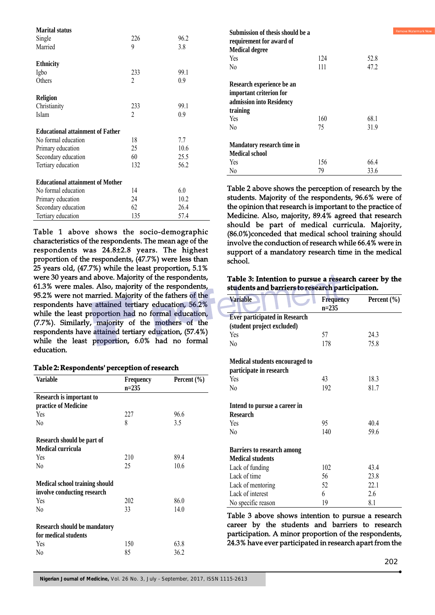| <b>Marital status</b>                   |                          |      |
|-----------------------------------------|--------------------------|------|
| Single                                  | 226                      | 96.2 |
| Married                                 | 9                        | 3.8  |
| <b>Ethnicity</b>                        |                          |      |
| Igbo                                    | 233                      | 99.1 |
|                                         |                          |      |
| Others                                  | $\mathfrak{D}$           | 0.9  |
| <b>Religion</b>                         |                          |      |
| Christianity                            | 233                      | 99.1 |
| Islam                                   | $\overline{\mathcal{L}}$ | 0.9  |
| <b>Educational attainment of Father</b> |                          |      |
| No formal education                     | 18                       | 7.7  |
| Primary education                       | 25                       | 10.6 |
| Secondary education                     | 60                       | 25.5 |
| Tertiary education                      | 132                      | 56.2 |
| <b>Educational attainment of Mother</b> |                          |      |
| No formal education                     | 14                       | 6.0  |
| Primary education                       | 24                       | 10.2 |
| Secondary education                     | 62                       | 26.4 |
| Tertiary education                      | 135                      | 57.4 |

Table 1 above shows the socio-demographic characteristics of the respondents. The mean age of the respondents was 24.8±2.8 years. The highest proportion of the respondents, (47.7%) were less than 25 years old, (47.7%) while the least proportion, 5.1% were 30 years and above. Majority of the respondents, 61.3% were males. Also, majority of the respondents, 95.2% were not married. Majority of the fathers of the respondents have attained tertiary education, 56.2% while the least proportion had no formal education, (7.7%). Similarly, majority of the mothers of the respondents have attained tertiary education, (57.4%) while the least proportion, 6.0% had no formal education.

#### **Table 2: Respondents' perception of research**

| <b>Variable</b>                       | <b>Frequency</b> | Percent $(\% )$ |
|---------------------------------------|------------------|-----------------|
|                                       | $n = 235$        |                 |
| Research is important to              |                  |                 |
| practice of Medicine                  |                  |                 |
| <b>Yes</b>                            | 227              | 96.6            |
| N <sub>0</sub>                        | 8                | 3.5             |
| Research should be part of            |                  |                 |
| Medical curricula                     |                  |                 |
| Yes                                   | 210              | 89.4            |
| N <sub>0</sub>                        | 25               | 10.6            |
| <b>Medical school training should</b> |                  |                 |
| involve conducting research           |                  |                 |
| Yes                                   | 202              | 86.0            |
| N <sub>0</sub>                        | 33               | 14.0            |
| <b>Research should be mandatory</b>   |                  |                 |
| for medical students                  |                  |                 |
| Yes                                   | 150              | 63.8            |
| No                                    | 85               | 36.2            |

| Submission of thesis should be a<br>requirement for award of<br><b>Medical degree</b>        |     | Remo |
|----------------------------------------------------------------------------------------------|-----|------|
| Yes                                                                                          | 124 | 52.8 |
| No                                                                                           | 111 | 47.2 |
| Research experience be an<br>important criterion for<br>admission into Residency<br>training |     |      |
| Yes                                                                                          | 160 | 68.1 |
| N <sub>0</sub>                                                                               | 75  | 31.9 |
| Mandatory research time in                                                                   |     |      |
| <b>Medical school</b>                                                                        |     |      |
| <b>Yes</b>                                                                                   | 156 | 66.4 |
| No                                                                                           | 79  | 33.6 |

Table 2 above shows the perception of research by the students. Majority of the respondents, 96.6% were of the opinion that research is important to the practice of Medicine. Also, majority, 89.4% agreed that research should be part of medical curricula. Majority, (86.0%)conceded that medical school training should involve the conduction of research while 66.4% were in support of a mandatory research time in the medical school.

#### **Table 3: Intention to pursue a research career by the students and barriers to research participation.**

| <b>Variable</b>                      | <b>Frequency</b> | Percent $(\% )$ |
|--------------------------------------|------------------|-----------------|
|                                      | $n = 235$        |                 |
| <b>Ever participated in Research</b> |                  |                 |
| (student project excluded)           |                  |                 |
| Yes                                  | 57               | 24.3            |
| No                                   | 178              | 75.8            |
|                                      |                  |                 |
| Medical students encouraged to       |                  |                 |
| participate in research              |                  |                 |
| Yes                                  | 43               | 18.3            |
| No                                   | 192              | 81.7            |
|                                      |                  |                 |
| Intend to pursue a career in         |                  |                 |
| <b>Research</b>                      |                  |                 |
| Yes                                  | 95               | 40.4            |
| No                                   | 140              | 59.6            |
| <b>Barriers to research among</b>    |                  |                 |
| <b>Medical students</b>              |                  |                 |
| Lack of funding                      | 102              | 43.4            |
| Lack of time                         | 56               | 23.8            |
| Lack of mentoring                    | 52               | 22.1            |
| Lack of interest                     |                  |                 |
|                                      | 6                | 2.6             |
| No specific reason                   | 19               | 8.1             |

Table 3 above shows intention to pursue a research career by the students and barriers to research participation. A minor proportion of the respondents, 24.3% have ever participated in research apart from the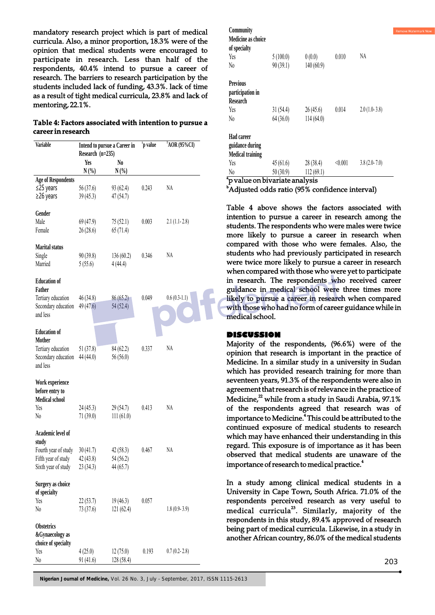mandatory research project which is part of medical curricula. Also, a minor proportion, 18.3% were of the opinion that medical students were encouraged to participate in research. Less than half of the respondents, 40.4% intend to pursue a career of research. The barriers to research participation by the students included lack of funding, 43.3%. lack of time as a result of tight medical curricula, 23.8% and lack of mentoring, 22.1%.

### **Table 4: Factors associated with intention to pursue a career in research**

| <b>Variable</b>           |                                                  |                | $\overline{p}$ value | $\overline{O}$ AOR (95%CI) |
|---------------------------|--------------------------------------------------|----------------|----------------------|----------------------------|
|                           | Intend to pursue a Career in<br>Research (n=235) |                |                      |                            |
|                           | Yes                                              | N <sub>0</sub> |                      |                            |
|                           | $N(\%)$                                          | $N(\%)$        |                      |                            |
| <b>Age of Respondents</b> |                                                  |                |                      |                            |
| ≤25 years                 | 56(37.6)                                         | 93(62.4)       | 0.243                | NA                         |
| ≥26 years                 | 39(45.3)                                         | 47 (54.7)      |                      |                            |
|                           |                                                  |                |                      |                            |
| Gender                    |                                                  |                |                      |                            |
| Male                      | 69(47.9)                                         | 75(52.1)       | 0.003                | $2.1(1.1-2.8)$             |
| Female                    | 26 (28.6)                                        | 65(71.4)       |                      |                            |
|                           |                                                  |                |                      |                            |
| <b>Marital status</b>     |                                                  |                |                      |                            |
| Single                    | 90(39.8)                                         | 136(60.2)      | 0.346                | NА                         |
| Married                   | 5(55.6)                                          | 4(44.4)        |                      |                            |
|                           |                                                  |                |                      |                            |
| <b>Education of</b>       |                                                  |                |                      |                            |
| Father                    |                                                  |                |                      |                            |
| Tertiary education        |                                                  | 86(65.2)       | 0.049                | $0.6(0.3-1.1)$             |
|                           | 46(34.8)                                         |                |                      |                            |
| Secondary education       | 49(47.6)                                         | 54 (52.4)      |                      |                            |
| and less                  |                                                  |                |                      |                            |
|                           |                                                  |                |                      |                            |
| <b>Education of</b>       |                                                  |                |                      |                            |
| <b>Mother</b>             |                                                  |                |                      |                            |
| Tertiary education        | 51(37.8)                                         | 84 (62.2)      | 0.337                | NА                         |
| Secondary education       | 44 (44.0)                                        | 56 (56.0)      |                      |                            |
| and less                  |                                                  |                |                      |                            |
|                           |                                                  |                |                      |                            |
| Work experience           |                                                  |                |                      |                            |
| before entry to           |                                                  |                |                      |                            |
| <b>Medical school</b>     |                                                  |                |                      |                            |
| Yes                       | 24 (45.3)                                        | 29(54.7)       | 0.413                | NА                         |
| N0                        | 71(39.0)                                         | 111(61.0)      |                      |                            |
|                           |                                                  |                |                      |                            |
| Academic level of         |                                                  |                |                      |                            |
| study                     |                                                  |                |                      |                            |
| Fourth year of study      | 30(41.7)                                         | 42(58.3)       | 0.467                | NА                         |
| Fifth year of study       | 42(43.8)                                         | 54 (56.2)      |                      |                            |
| Sixth year of study       | 23 (34.3)                                        | 44 (65.7)      |                      |                            |
|                           |                                                  |                |                      |                            |
| Surgery as choice         |                                                  |                |                      |                            |
| of specialty              |                                                  |                |                      |                            |
| Yes                       | 22(53.7)                                         | 19(46.3)       | 0.057                |                            |
| No                        | 73 (37.6)                                        | 121(62.4)      |                      | $1.8(0.9-3.9)$             |
|                           |                                                  |                |                      |                            |
| <b>Obstetrics</b>         |                                                  |                |                      |                            |
| &Gynaecology as           |                                                  |                |                      |                            |
| choice of specialty       |                                                  |                |                      |                            |
| Yes                       | 4(25.0)                                          | 12(75.0)       | 0.193                | $0.7(0.2 - 2.8)$           |
| No                        | 91(41.6)                                         | 128 (58.4)     |                      |                            |

| Community                                       |          |           |         |                  |
|-------------------------------------------------|----------|-----------|---------|------------------|
| Medicine as choice<br>of specialty              |          |           |         |                  |
| Yes                                             | 5(100.0) | 0(0.0)    | 0.010   | NA               |
| N <sub>0</sub>                                  | 90(39.1) | 140(60.9) |         |                  |
| <b>Previous</b><br>participation in<br>Research |          |           |         |                  |
| Yes                                             | 31(54.4) | 26(45.6)  | 0.014   | $2.0(1.0-3.8)$   |
| $\rm N_0$                                       | 64(36.0) | 114(64.0) |         |                  |
| Had career<br>guidance during                   |          |           |         |                  |
| <b>Medical training</b>                         |          |           |         |                  |
| Yes                                             | 45(61.6) | 28(38.4)  | < 0.001 | $3.8(2.0 - 7.0)$ |
| N0                                              | 50(30.9) | 112(69.1) |         |                  |

<sup>a</sup>p value on bivariate analysis

<sup>b</sup>Adjusted odds ratio (95% confidence interval)

Table 4 above shows the factors associated with intention to pursue a career in research among the students. The respondents who were males were twice more likely to pursue a career in research when compared with those who were females. Also, the students who had previously participated in research were twice more likely to pursue a career in research when compared with those who were yet to participate in research. The respondents who received career guidance in medical school were three times more likely to pursue a career in research when compared with those who had no form of career guidance while in medical school.

#### **DISCUSSION**

Majority of the respondents, (96.6%) were of the opinion that research is important in the practice of Medicine. In a similar study in a university in Sudan which has provided research training for more than seventeen years, 91.3% of the respondents were also in agreement that research is of relevance in the practice of Medicine,<sup>22</sup> while from a study in Saudi Arabia, 97.1% of the respondents agreed that research was of importance to Medicine.<sup>4</sup> This could be attributed to the continued exposure of medical students to research which may have enhanced their understanding in this regard. This exposure is of importance as it has been observed that medical students are unaware of the importance of research to medical practice.<sup>4</sup>

In a study among clinical medical students in a University in Cape Town, South Africa. 71.0% of the respondents perceived research as very useful to medical curricula<sup>23</sup>. Similarly, majority of the respondents in this study, 89.4% approved of research being part of medical curricula. Likewise, in a study in another African country, 86.0% of the medical students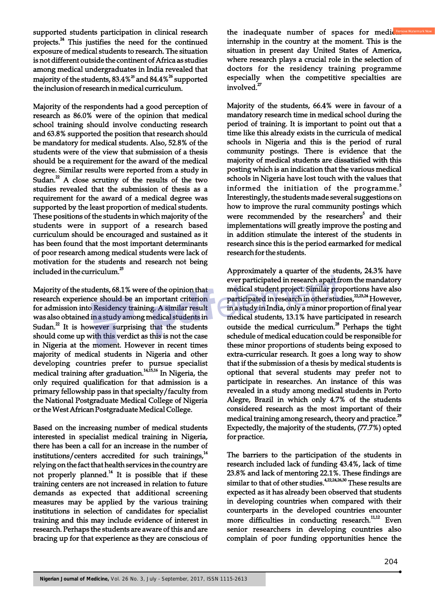supported students participation in clinical research projects.<sup>24</sup> This justifies the need for the continued exposure of medical students to research. The situation is not different outside the continent of Africa as studies among medical undergraduates in India revealed that majority of the students, 83.4%<sup>25</sup> and 84.4%<sup>26</sup> supported the inclusion of research in medical curriculum.

Majority of the respondents had a good perception of research as 86.0% were of the opinion that medical school training should involve conducting research and 63.8% supported the position that research should be mandatory for medical students. Also, 52.8% of the students were of the view that submission of a thesis should be a requirement for the award of the medical degree. Similar results were reported from a study in Sudan. $2^2$  A close scrutiny of the results of the two studies revealed that the submission of thesis as a requirement for the award of a medical degree was supported by the least proportion of medical students. These positions of the students in which majority of the students were in support of a research based curriculum should be encouraged and sustained as it has been found that the most important determinants of poor research among medical students were lack of motivation for the students and research not being included in the curriculum.<sup>25</sup>

Majority of the students, 68.1% were of the opinion that research experience should be an important criterion for admission into Residency training. A similar result was also obtained in a study among medical students in Sudan. $2$ <sup>2</sup> It is however surprising that the students should come up with this verdict as this is not the case in Nigeria at the moment. However in recent times majority of medical students in Nigeria and other developing countries prefer to pursue specialist medical training after graduation.<sup>14,15,16</sup> In Nigeria, the only required qualification for that admission is a primary fellowship pass in that specialty/faculty from the National Postgraduate Medical College of Nigeria or the West African Postgraduate Medical College.

Based on the increasing number of medical students interested in specialist medical training in Nigeria, there has been a call for an increase in the number of institutions/centers accredited for such trainings, $14$ relying on the fact that health services in the country are not properly planned.<sup>14</sup> It is possible that if these training centers are not increased in relation to future demands as expected that additional screening measures may be applied by the various training institutions in selection of candidates for specialist training and this may include evidence of interest in research. Perhaps the students are aware of this and are bracing up for that experience as they are conscious of

the inadequate number of spaces for medics internship in the country at the moment. This is the situation in present day United States of America, where research plays a crucial role in the selection of doctors for the residency training programme especially when the competitive specialties are involved. $^{2}$ 

Majority of the students, 66.4% were in favour of a mandatory research time in medical school during the period of training. It is important to point out that a time like this already exists in the curricula of medical schools in Nigeria and this is the period of rural community postings. There is evidence that the majority of medical students are dissatisfied with this posting which is an indication that the various medical schools in Nigeria have lost touch with the values that informed the initiation of the programme. $^5$ Interestingly, the students made several suggestions on how to improve the rural community postings which were recommended by the researchers<sup>5</sup> and their implementations will greatly improve the posting and in addition stimulate the interest of the students in research since this is the period earmarked for medical research for the students.

Approximately a quarter of the students, 24.3% have ever participated in research apart from the mandatory medical student project. Similar proportions have also participated in research in other studies,<sup>22,23,24</sup> However, in a study in India, only a minor proportion of final year medical students, 13.1% have participated in research outside the medical curriculum.<sup>28</sup> Perhaps the tight schedule of medical education could be responsible for these minor proportions of students being exposed to extra-curricular research. It goes a long way to show that if the submission of a thesis by medical students is optional that several students may prefer not to participate in researches. An instance of this was revealed in a study among medical students in Porto Alegre, Brazil in which only 4.7% of the students considered research as the most important of their medical training among research, theory and practice.<sup>29</sup> Expectedly, the majority of the students, (77.7%) opted for practice.

The barriers to the participation of the students in research included lack of funding 43.4%, lack of time 23.8% and lack of mentoring 22.1%. These findings are similar to that of other studies.  $422,24,26,30$  These results are expected as it has already been observed that students in developing countries when compared with their counterparts in the developed countries encounter more difficulties in conducting research.<sup>11,12</sup> Even senior researchers in developing countries also complain of poor funding opportunities hence the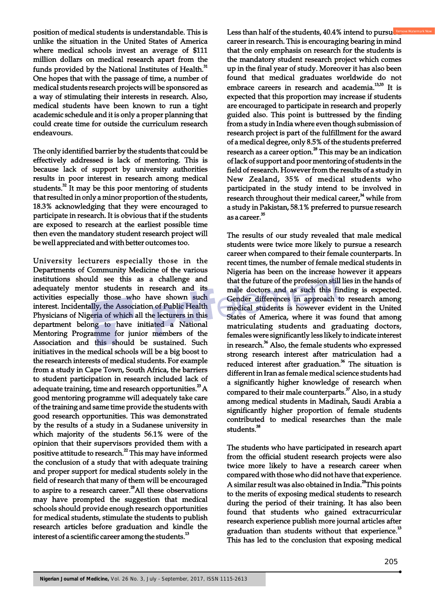position of medical students is understandable. This is unlike the situation in the United States of America where medical schools invest an average of \$111 million dollars on medical research apart from the funds provided by the National Institutes of Health.<sup>31</sup> One hopes that with the passage of time, a number of medical students research projects will be sponsored as a way of stimulating their interests in research. Also, medical students have been known to run a tight academic schedule and it is only a proper planning that could create time for outside the curriculum research endeavours.

The only identified barrier by the students that could be effectively addressed is lack of mentoring. This is because lack of support by university authorities results in poor interest in research among medical students. $^{32}$  It may be this poor mentoring of students that resulted in only a minor proportion of the students, 18.3% acknowledging that they were encouraged to participate in research. It is obvious that if the students are exposed to research at the earliest possible time then even the mandatory student research project will be well appreciated and with better outcomes too.

University lecturers especially those in the Departments of Community Medicine of the various institutions should see this as a challenge and adequately mentor students in research and its activities especially those who have shown such interest. Incidentally, the Association of Public Health Physicians of Nigeria of which all the lecturers in this department belong to have initiated a National Mentoring Programme for junior members of the Association and this should be sustained. Such initiatives in the medical schools will be a big boost to the research interests of medical students. For example from a study in Cape Town, South Africa, the barriers to student participation in research included lack of adequate training, time and research opportunities. $^{23}$ A good mentoring programme will adequately take care of the training and same time provide the students with good research opportunities. This was demonstrated by the results of a study in a Sudanese university in which majority of the students 56.1% were of the opinion that their supervisors provided them with a positive attitude to research.<sup>22</sup> This may have informed the conclusion of a study that with adequate training and proper support for medical students solely in the field of research that many of them will be encouraged to aspire to a research career. $a^2$ All these observations for medical students, stimulate the students to publish research articles before graduation and kindle the interest of a scientific career among the students.<sup>13</sup>

Less than half of the students,  $40.4\%$  intend to pursue career in research. This is encouraging bearing in mind that the only emphasis on research for the students is the mandatory student research project which comes up in the final year of study. Moreover it has also been found that medical graduates worldwide do not embrace careers in research and academia.<sup>13,33</sup> It is expected that this proportion may increase if students are encouraged to participate in research and properly guided also. This point is buttressed by the finding from a study in India where even though submission of research project is part of the fulfillment for the award of a medical degree, only 8.5% of the students preferred research as a career option.<sup>28</sup> This may be an indication of lack of support and poor mentoring of students in the field of research. However from the results of a study in New Zealand, 35% of medical students who participated in the study intend to be involved in research throughout their medical career,<sup>34</sup> while from a study in Pakistan, 58.1% preferred to pursue research as a career.<sup>35</sup>

The results of our study revealed that male medical students were twice more likely to pursue a research career when compared to their female counterparts. In recent times, the number of female medical students in Nigeria has been on the increase however it appears that the future of the profession still lies in the hands of male doctors and as such this finding is expected. Gender differences in approach to research among medical students is however evident in the United States of America, where it was found that among matriculating students and graduating doctors, females were significantly less likely to indicate interest in research.<sup>36</sup> Also, the female students who expressed strong research interest after matriculation had a reduced interest after graduation.<sup>36</sup> The situation is different in Iran as female medical science students had a significantly higher knowledge of research when compared to their male counterparts. $37$  Also, in a study among medical students in Madinah, Saudi Arabia a significantly higher proportion of female students contributed to medical researches than the male students.<sup>38</sup>

The students who have participated in research apart from the official student research projects were also twice more likely to have a research career when compared with those who did not have that experience. A similar result was also obtained in India.<sup>28</sup>This points to the merits of exposing medical students to research during the period of their training. It has also been found that students who gained extracurricular research experience publish more journal articles after graduation than students without that experience.<sup>13</sup> This has led to the conclusion that exposing medical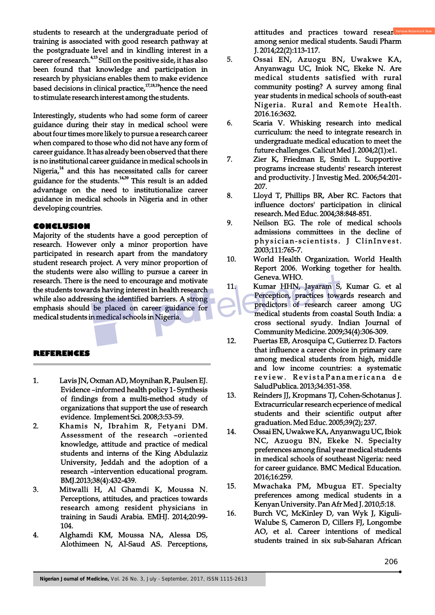students to research at the undergraduate period of training is associated with good research pathway at the postgraduate level and in kindling interest in a career of research.<sup>4,13</sup> Still on the positive side, it has also been found that knowledge and participation in research by physicians enables them to make evidence based decisions in clinical practice,  $17,18,19$  hence the need to stimulate research interest among the students.

Interestingly, students who had some form of career guidance during their stay in medical school were about four times more likely to pursue a research career when compared to those who did not have any form of career guidance. It has already been observed that there is no institutional career guidance in medical schools in Nigeria, $14$  and this has necessitated calls for career guidance for the students.<sup>14,39</sup> This result is an added advantage on the need to institutionalize career guidance in medical schools in Nigeria and in other developing countries.

### **CONCLUSION**

Majority of the students have a good perception of research. However only a minor proportion have participated in research apart from the mandatory student research project. A very minor proportion of the students were also willing to pursue a career in research. There is the need to encourage and motivate the students towards having interest in health research while also addressing the identified barriers. A strong emphasis should be placed on career guidance for medical students in medical schools in Nigeria.

#### **REFERENCES**

- 1. Lavis JN, Oxman AD, Moynihan R, Paulsen EJ. Evidence –informed health policy 1- Synthesis of findings from a multi-method study of organizations that support the use of research evidence. Implement Sci. 2008;3:53-59.
- 2. Khamis N, Ibrahim R, Fetyani DM. Assessment of the research –oriented knowledge, attitude and practice of medical students and interns of the King Abdulaziz University, Jeddah and the adoption of a research –intervention educational program. BMJ.2013;38(4):432-439.
- 3. Mitwalli H, Al Ghamdi K, Moussa N. Perceptions, attitudes, and practices towards research among resident physicians in training in Saudi Arabia. EMHJ. 2014;20:99- 104.
- 4. Alghamdi KM, Moussa NA, Alessa DS, Alothimeen N, Al-Saud AS. Perceptions,

attitudes and practices toward resear among senior medical students. Saudi Pharm J. 2014;22(2):113-117.

- 5. Ossai EN, Azuogu BN, Uwakwe KA, Anyanwagu UC, Iniok NC, Ekeke N. Are medical students satisfied with rural community posting? A survey among final year students in medical schools of south-east Nigeria. Rural and Remote Health. 2016.16:3632.
- 6. Scaria V. Whisking research into medical curriculum: the need to integrate research in undergraduate medical education to meet the future challenges. Calicut Med J. 2004;2(1):e1.
- 7. Zier K, Friedman E, Smith L. Supportive programs increase students' research interest and productivity. J Investig Med. 2006;54:201- 207.
- 8. Lloyd T, Phillips BR, Aber RC. Factors that influence doctors' participation in clinical research. Med Educ. 2004;38:848-851.
- 9. Neilson EG. The role of medical schools admissions committees in the decline of physician-scientists. J ClinInvest. 2003;111:765-7.
- 10. World Health Organization. World Health Report 2006. Working together for health. Geneva. WHO.
- 11. Kumar HHN, Jayaram S, Kumar G. et al Perception, practices towards research and predictors of research career among UG medical students from coastal South India: a cross sectional syudy. Indian Journal of Community Medicine. 2009;34(4):306-309.
- 12. Puertas EB, Arosquipa C, Gutierrez D. Factors that influence a career choice in primary care among medical students from high, middle and low income countries: a systematic review. Revista Panamericana de SaludPublica. 2013;34:351-358.
- 13. Reinders JJ, Kropmans TJ, Cohen-Schotanus J. Extracurricular research ecperience of medical students and their scientific output after graduation. Med Educ. 2005;39(2); 237.
- 14. Ossai EN, Uwakwe KA, Anyanwagu UC, Ibiok NC, Azuogu BN, Ekeke N. Specialty preferences among final year medical students in medical schools of southeast Nigeria: need for career guidance. BMC Medical Education. 2016;16:259.
- 15. Mwachaka PM, Mbugua ET. Specialty preferences among medical students in a Kenyan University. Pan Afr Med J. 2010;5:18.
- 16. Burch VC, McKinley D, van Wyk J, Kiguli-Walube S, Cameron D, Cillers FJ, Longombe AO, et al. Career intentions of medical students trained in six sub-Saharan African